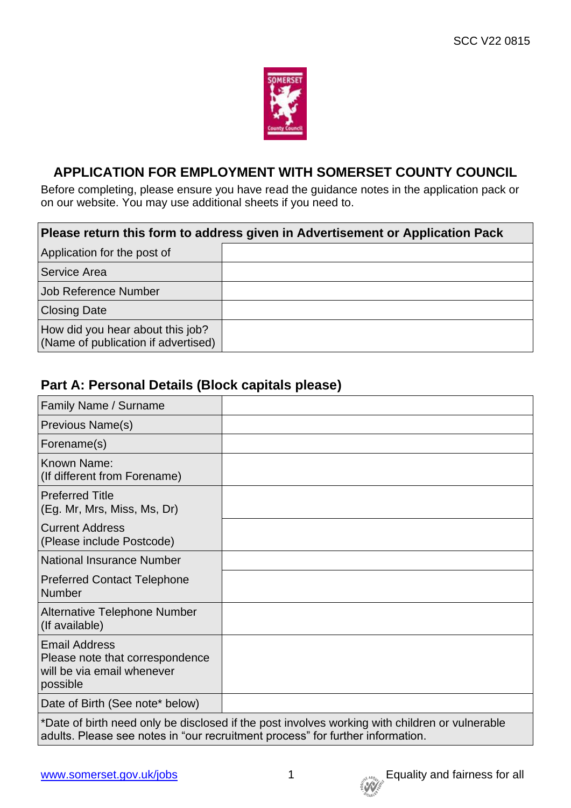

## **APPLICATION FOR EMPLOYMENT WITH SOMERSET COUNTY COUNCIL**

Before completing, please ensure you have read the guidance notes in the application pack or on our website. You may use additional sheets if you need to.

| Please return this form to address given in Advertisement or Application Pack |  |  |  |  |
|-------------------------------------------------------------------------------|--|--|--|--|
| Application for the post of                                                   |  |  |  |  |
| <b>Service Area</b>                                                           |  |  |  |  |
| Job Reference Number                                                          |  |  |  |  |
| <b>Closing Date</b>                                                           |  |  |  |  |
| How did you hear about this job?<br>(Name of publication if advertised)       |  |  |  |  |

## **Part A: Personal Details (Block capitals please)**

| <b>Family Name / Surname</b>                                                                      |  |
|---------------------------------------------------------------------------------------------------|--|
| <b>Previous Name(s)</b>                                                                           |  |
| Forename(s)                                                                                       |  |
| Known Name:<br>(If different from Forename)                                                       |  |
| <b>Preferred Title</b><br>(Eg. Mr, Mrs, Miss, Ms, Dr)                                             |  |
| <b>Current Address</b><br>(Please include Postcode)                                               |  |
| <b>National Insurance Number</b>                                                                  |  |
| Preferred Contact Telephone<br>Number                                                             |  |
| Alternative Telephone Number<br>(If available)                                                    |  |
| <b>Email Address</b><br>Please note that correspondence<br>will be via email whenever<br>possible |  |
| Date of Birth (See note* below)                                                                   |  |
|                                                                                                   |  |

\*Date of birth need only be disclosed if the post involves working with children or vulnerable adults. Please see notes in "our recruitment process" for further information.

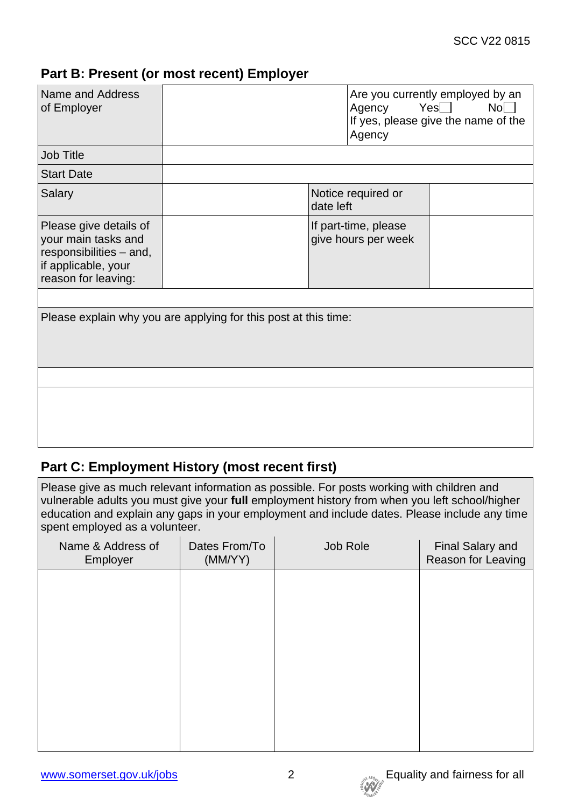## **Part B: Present (or most recent) Employer**

| Name and Address<br>of Employer                                                                                        |                                                                 |                                             | Agency Yes□<br>Agency | Are you currently employed by an<br>No<br>If yes, please give the name of the |  |
|------------------------------------------------------------------------------------------------------------------------|-----------------------------------------------------------------|---------------------------------------------|-----------------------|-------------------------------------------------------------------------------|--|
| <b>Job Title</b>                                                                                                       |                                                                 |                                             |                       |                                                                               |  |
| <b>Start Date</b>                                                                                                      |                                                                 |                                             |                       |                                                                               |  |
| Salary                                                                                                                 |                                                                 | Notice required or<br>date left             |                       |                                                                               |  |
| Please give details of<br>your main tasks and<br>responsibilities - and,<br>if applicable, your<br>reason for leaving: |                                                                 | If part-time, please<br>give hours per week |                       |                                                                               |  |
|                                                                                                                        |                                                                 |                                             |                       |                                                                               |  |
|                                                                                                                        | Please explain why you are applying for this post at this time: |                                             |                       |                                                                               |  |
|                                                                                                                        |                                                                 |                                             |                       |                                                                               |  |
|                                                                                                                        |                                                                 |                                             |                       |                                                                               |  |

## **Part C: Employment History (most recent first)**

Please give as much relevant information as possible. For posts working with children and vulnerable adults you must give your **full** employment history from when you left school/higher education and explain any gaps in your employment and include dates. Please include any time spent employed as a volunteer.

| Name & Address of<br>Employer | Dates From/To<br>(MM/YY) | Job Role | <b>Final Salary and</b><br>Reason for Leaving |
|-------------------------------|--------------------------|----------|-----------------------------------------------|
|                               |                          |          |                                               |
|                               |                          |          |                                               |
|                               |                          |          |                                               |
|                               |                          |          |                                               |
|                               |                          |          |                                               |
|                               |                          |          |                                               |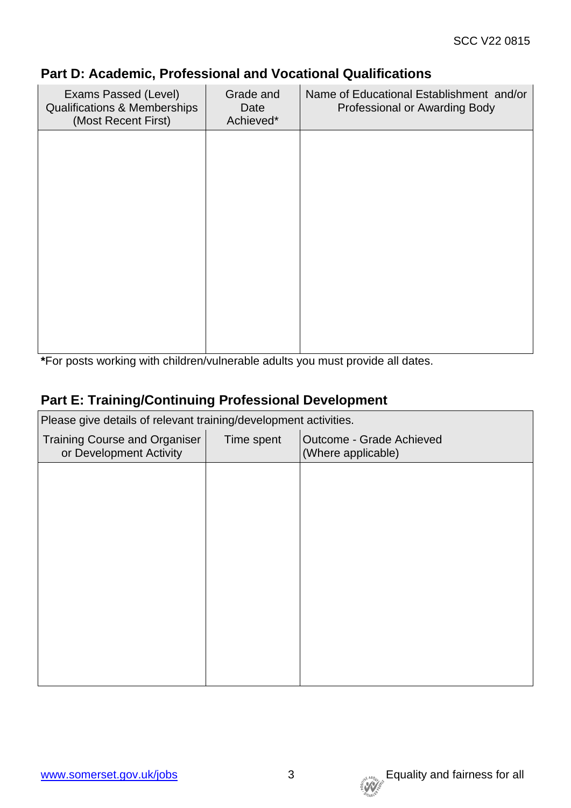| Exams Passed (Level)<br><b>Qualifications &amp; Memberships</b><br>(Most Recent First) | Grade and<br>Date<br>Achieved* | Name of Educational Establishment and/or<br>Professional or Awarding Body |
|----------------------------------------------------------------------------------------|--------------------------------|---------------------------------------------------------------------------|
|                                                                                        |                                |                                                                           |
|                                                                                        |                                |                                                                           |
|                                                                                        |                                |                                                                           |
|                                                                                        |                                |                                                                           |
|                                                                                        |                                |                                                                           |

## **Part D: Academic, Professional and Vocational Qualifications**

**\***For posts working with children/vulnerable adults you must provide all dates.

## **Part E: Training/Continuing Professional Development**

| Please give details of relevant training/development activities. |            |                                                |  |  |
|------------------------------------------------------------------|------------|------------------------------------------------|--|--|
| <b>Training Course and Organiser</b><br>or Development Activity  | Time spent | Outcome - Grade Achieved<br>(Where applicable) |  |  |
|                                                                  |            |                                                |  |  |
|                                                                  |            |                                                |  |  |
|                                                                  |            |                                                |  |  |
|                                                                  |            |                                                |  |  |
|                                                                  |            |                                                |  |  |
|                                                                  |            |                                                |  |  |
|                                                                  |            |                                                |  |  |
|                                                                  |            |                                                |  |  |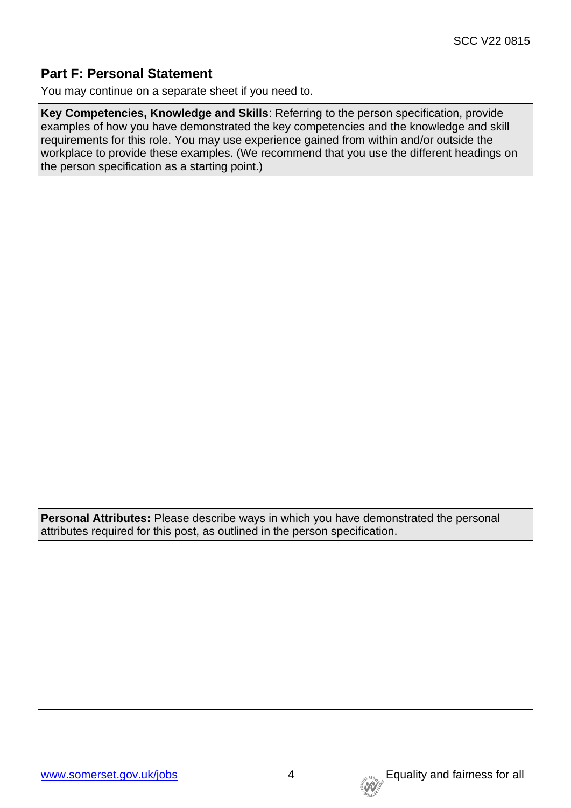## **Part F: Personal Statement**

You may continue on a separate sheet if you need to.

**Key Competencies, Knowledge and Skills**: Referring to the person specification, provide examples of how you have demonstrated the key competencies and the knowledge and skill requirements for this role. You may use experience gained from within and/or outside the workplace to provide these examples. (We recommend that you use the different headings on the person specification as a starting point.)

**Personal Attributes:** Please describe ways in which you have demonstrated the personal attributes required for this post, as outlined in the person specification.

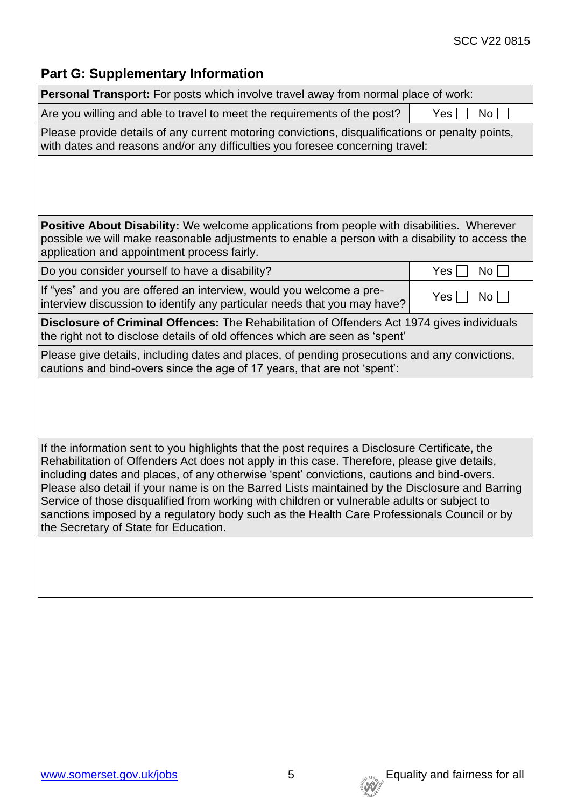### SCC V22 0815

# **Part G: Supplementary Information**

| <b>Personal Transport:</b> For posts which involve travel away from normal place of work:                                                                                                                                                                                                                                                                                                                                                                                                                                                                                                                                             |                        |
|---------------------------------------------------------------------------------------------------------------------------------------------------------------------------------------------------------------------------------------------------------------------------------------------------------------------------------------------------------------------------------------------------------------------------------------------------------------------------------------------------------------------------------------------------------------------------------------------------------------------------------------|------------------------|
| Are you willing and able to travel to meet the requirements of the post?                                                                                                                                                                                                                                                                                                                                                                                                                                                                                                                                                              | Yes  <br>No l          |
| Please provide details of any current motoring convictions, disqualifications or penalty points,<br>with dates and reasons and/or any difficulties you foresee concerning travel:                                                                                                                                                                                                                                                                                                                                                                                                                                                     |                        |
|                                                                                                                                                                                                                                                                                                                                                                                                                                                                                                                                                                                                                                       |                        |
| <b>Positive About Disability:</b> We welcome applications from people with disabilities. Wherever<br>possible we will make reasonable adjustments to enable a person with a disability to access the<br>application and appointment process fairly.                                                                                                                                                                                                                                                                                                                                                                                   |                        |
| Do you consider yourself to have a disability?                                                                                                                                                                                                                                                                                                                                                                                                                                                                                                                                                                                        | Yes<br>No <sub>1</sub> |
| If "yes" and you are offered an interview, would you welcome a pre-<br>interview discussion to identify any particular needs that you may have?                                                                                                                                                                                                                                                                                                                                                                                                                                                                                       | Yes<br>No l            |
| <b>Disclosure of Criminal Offences:</b> The Rehabilitation of Offenders Act 1974 gives individuals<br>the right not to disclose details of old offences which are seen as 'spent'                                                                                                                                                                                                                                                                                                                                                                                                                                                     |                        |
| Please give details, including dates and places, of pending prosecutions and any convictions,<br>cautions and bind-overs since the age of 17 years, that are not 'spent':                                                                                                                                                                                                                                                                                                                                                                                                                                                             |                        |
|                                                                                                                                                                                                                                                                                                                                                                                                                                                                                                                                                                                                                                       |                        |
| If the information sent to you highlights that the post requires a Disclosure Certificate, the<br>Rehabilitation of Offenders Act does not apply in this case. Therefore, please give details,<br>including dates and places, of any otherwise 'spent' convictions, cautions and bind-overs.<br>Please also detail if your name is on the Barred Lists maintained by the Disclosure and Barring<br>Service of those disqualified from working with children or vulnerable adults or subject to<br>sanctions imposed by a regulatory body such as the Health Care Professionals Council or by<br>the Secretary of State for Education. |                        |
|                                                                                                                                                                                                                                                                                                                                                                                                                                                                                                                                                                                                                                       |                        |

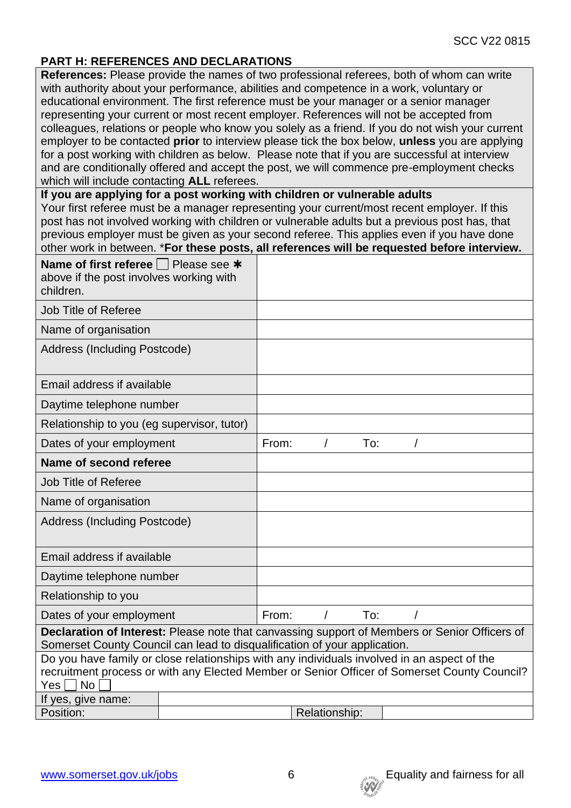### **PART H: REFERENCES AND DECLARATIONS**

**References:** Please provide the names of two professional referees, both of whom can write with authority about your performance, abilities and competence in a work, voluntary or educational environment. The first reference must be your manager or a senior manager representing your current or most recent employer. References will not be accepted from colleagues, relations or people who know you solely as a friend. If you do not wish your current employer to be contacted **prior** to interview please tick the box below, **unless** you are applying for a post working with children as below. Please note that if you are successful at interview and are conditionally offered and accept the post, we will commence pre-employment checks which will include contacting **ALL** referees.

#### **If you are applying for a post working with children or vulnerable adults**

Your first referee must be a manager representing your current/most recent employer. If this post has not involved working with children or vulnerable adults but a previous post has, that previous employer must be given as your second referee. This applies even if you have done other work in between. \***For these posts, all references will be requested before interview.**

| Name of first referee $\Box$ Please see *<br>above if the post involves working with<br>children.                                                                          |               |                                                                                                                                                                                             |          |     |   |  |  |
|----------------------------------------------------------------------------------------------------------------------------------------------------------------------------|---------------|---------------------------------------------------------------------------------------------------------------------------------------------------------------------------------------------|----------|-----|---|--|--|
| Job Title of Referee                                                                                                                                                       |               |                                                                                                                                                                                             |          |     |   |  |  |
| Name of organisation                                                                                                                                                       |               |                                                                                                                                                                                             |          |     |   |  |  |
| Address (Including Postcode)                                                                                                                                               |               |                                                                                                                                                                                             |          |     |   |  |  |
| Email address if available                                                                                                                                                 |               |                                                                                                                                                                                             |          |     |   |  |  |
| Daytime telephone number                                                                                                                                                   |               |                                                                                                                                                                                             |          |     |   |  |  |
| Relationship to you (eg supervisor, tutor)                                                                                                                                 |               |                                                                                                                                                                                             |          |     |   |  |  |
| Dates of your employment                                                                                                                                                   |               | From:                                                                                                                                                                                       | $\prime$ | To: |   |  |  |
| Name of second referee                                                                                                                                                     |               |                                                                                                                                                                                             |          |     |   |  |  |
| <b>Job Title of Referee</b>                                                                                                                                                |               |                                                                                                                                                                                             |          |     |   |  |  |
| Name of organisation                                                                                                                                                       |               |                                                                                                                                                                                             |          |     |   |  |  |
| Address (Including Postcode)                                                                                                                                               |               |                                                                                                                                                                                             |          |     |   |  |  |
| Email address if available                                                                                                                                                 |               |                                                                                                                                                                                             |          |     |   |  |  |
| Daytime telephone number                                                                                                                                                   |               |                                                                                                                                                                                             |          |     |   |  |  |
| Relationship to you                                                                                                                                                        |               |                                                                                                                                                                                             |          |     |   |  |  |
| Dates of your employment<br>From:                                                                                                                                          |               |                                                                                                                                                                                             | $\prime$ | To: | T |  |  |
| Declaration of Interest: Please note that canvassing support of Members or Senior Officers of<br>Somerset County Council can lead to disqualification of your application. |               |                                                                                                                                                                                             |          |     |   |  |  |
| $Yes \Box No$                                                                                                                                                              |               | Do you have family or close relationships with any individuals involved in an aspect of the<br>recruitment process or with any Elected Member or Senior Officer of Somerset County Council? |          |     |   |  |  |
| If yes, give name:                                                                                                                                                         |               |                                                                                                                                                                                             |          |     |   |  |  |
| Position:                                                                                                                                                                  | Relationship: |                                                                                                                                                                                             |          |     |   |  |  |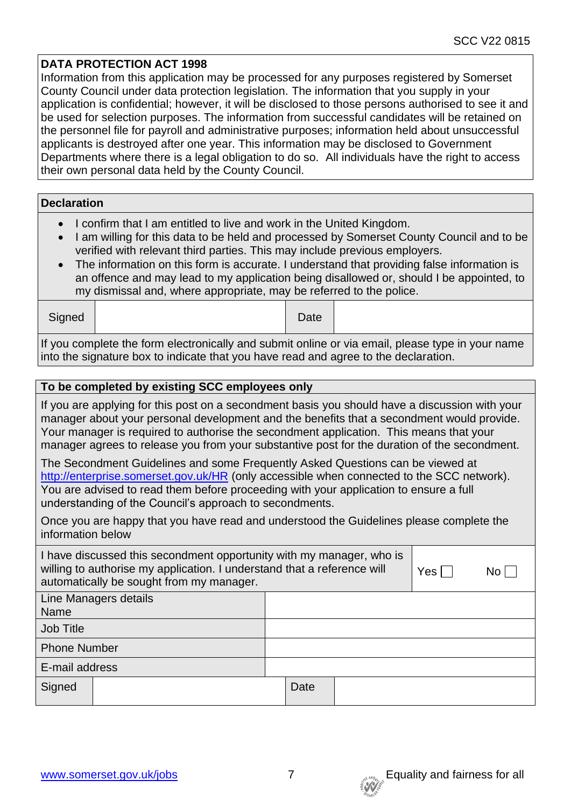### **DATA PROTECTION ACT 1998**

Information from this application may be processed for any purposes registered by Somerset County Council under data protection legislation. The information that you supply in your application is confidential; however, it will be disclosed to those persons authorised to see it and be used for selection purposes. The information from successful candidates will be retained on the personnel file for payroll and administrative purposes; information held about unsuccessful applicants is destroyed after one year. This information may be disclosed to Government Departments where there is a legal obligation to do so. All individuals have the right to access their own personal data held by the County Council.

| <b>Declaration</b> |  |
|--------------------|--|
|                    |  |
|                    |  |

- I confirm that I am entitled to live and work in the United Kingdom.
- I am willing for this data to be held and processed by Somerset County Council and to be verified with relevant third parties. This may include previous employers.
- The information on this form is accurate. I understand that providing false information is an offence and may lead to my application being disallowed or, should I be appointed, to my dismissal and, where appropriate, may be referred to the police.

| Signed                                                                                           |  | Date |  |  |  |  |
|--------------------------------------------------------------------------------------------------|--|------|--|--|--|--|
| If you complete the form electronically and submit online or via email, please type in your name |  |      |  |  |  |  |

into the signature box to indicate that you have read and agree to the declaration.

| To be completed by existing SCC employees only                                                                                                                                                                                                                                                                                  |                                                                                                                                                                                                                                                                                                                                                                                       |  |  |  |  |
|---------------------------------------------------------------------------------------------------------------------------------------------------------------------------------------------------------------------------------------------------------------------------------------------------------------------------------|---------------------------------------------------------------------------------------------------------------------------------------------------------------------------------------------------------------------------------------------------------------------------------------------------------------------------------------------------------------------------------------|--|--|--|--|
|                                                                                                                                                                                                                                                                                                                                 | If you are applying for this post on a secondment basis you should have a discussion with your<br>manager about your personal development and the benefits that a secondment would provide.<br>Your manager is required to authorise the secondment application. This means that your<br>manager agrees to release you from your substantive post for the duration of the secondment. |  |  |  |  |
| The Secondment Guidelines and some Frequently Asked Questions can be viewed at<br>http://enterprise.somerset.gov.uk/HR (only accessible when connected to the SCC network).<br>You are advised to read them before proceeding with your application to ensure a full<br>understanding of the Council's approach to secondments. |                                                                                                                                                                                                                                                                                                                                                                                       |  |  |  |  |
| information below                                                                                                                                                                                                                                                                                                               | Once you are happy that you have read and understood the Guidelines please complete the                                                                                                                                                                                                                                                                                               |  |  |  |  |
| I have discussed this secondment opportunity with my manager, who is<br>willing to authorise my application. I understand that a reference will<br>automatically be sought from my manager.                                                                                                                                     | $Yes \Box$<br>No                                                                                                                                                                                                                                                                                                                                                                      |  |  |  |  |
| Line Managers details<br>Name                                                                                                                                                                                                                                                                                                   |                                                                                                                                                                                                                                                                                                                                                                                       |  |  |  |  |
| <b>Job Title</b>                                                                                                                                                                                                                                                                                                                |                                                                                                                                                                                                                                                                                                                                                                                       |  |  |  |  |
| <b>Phone Number</b>                                                                                                                                                                                                                                                                                                             |                                                                                                                                                                                                                                                                                                                                                                                       |  |  |  |  |
| E-mail address                                                                                                                                                                                                                                                                                                                  |                                                                                                                                                                                                                                                                                                                                                                                       |  |  |  |  |
| Signed                                                                                                                                                                                                                                                                                                                          | Date                                                                                                                                                                                                                                                                                                                                                                                  |  |  |  |  |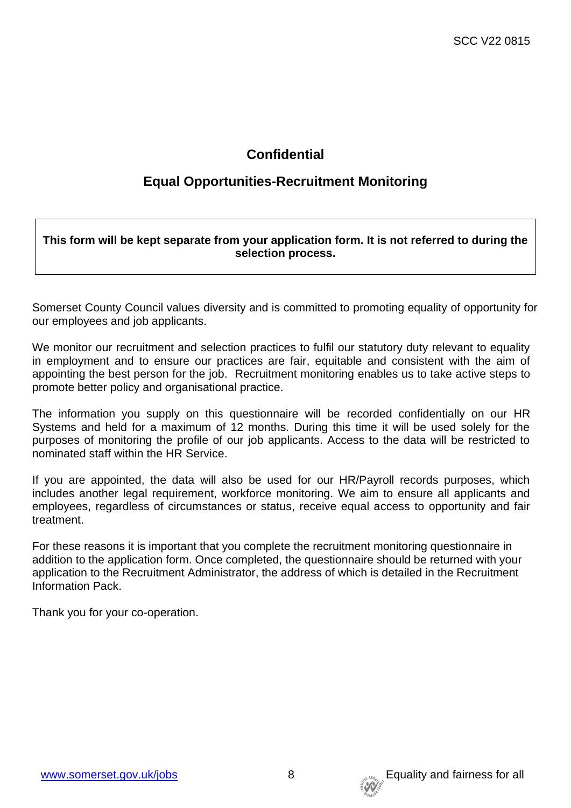## **Confidential**

## **Equal Opportunities-Recruitment Monitoring**

**This form will be kept separate from your application form. It is not referred to during the selection process.**

Somerset County Council values diversity and is committed to promoting equality of opportunity for our employees and job applicants.

We monitor our recruitment and selection practices to fulfil our statutory duty relevant to equality in employment and to ensure our practices are fair, equitable and consistent with the aim of appointing the best person for the job. Recruitment monitoring enables us to take active steps to promote better policy and organisational practice.

The information you supply on this questionnaire will be recorded confidentially on our HR Systems and held for a maximum of 12 months. During this time it will be used solely for the purposes of monitoring the profile of our job applicants. Access to the data will be restricted to nominated staff within the HR Service.

If you are appointed, the data will also be used for our HR/Payroll records purposes, which includes another legal requirement, workforce monitoring. We aim to ensure all applicants and employees, regardless of circumstances or status, receive equal access to opportunity and fair treatment.

For these reasons it is important that you complete the recruitment monitoring questionnaire in addition to the application form. Once completed, the questionnaire should be returned with your application to the Recruitment Administrator, the address of which is detailed in the Recruitment Information Pack.

Thank you for your co-operation.

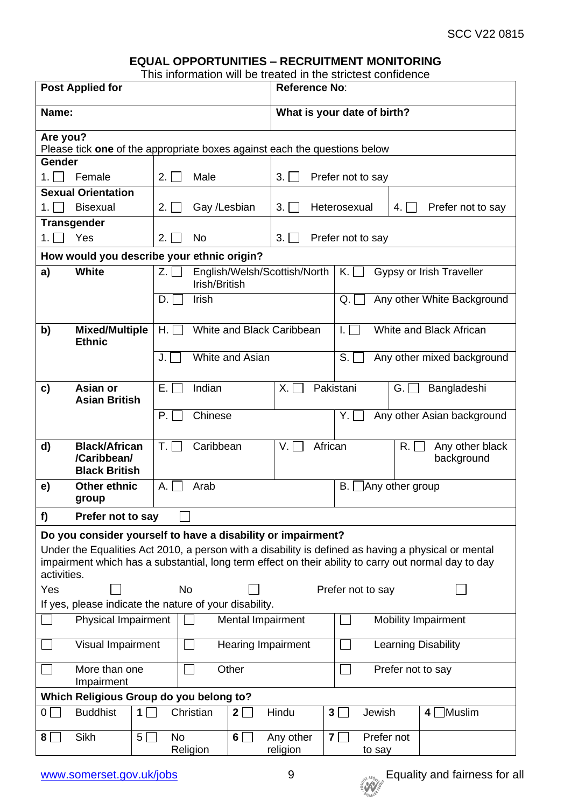### **EQUAL OPPORTUNITIES – RECRUITMENT MONITORING**

This information will be treated in the strictest confidence

| <b>Post Applied for</b>                                                                                                                                                                                                                                                                    |                                          | <b>Reference No:</b>                             |                                |                                               |  |  |
|--------------------------------------------------------------------------------------------------------------------------------------------------------------------------------------------------------------------------------------------------------------------------------------------|------------------------------------------|--------------------------------------------------|--------------------------------|-----------------------------------------------|--|--|
| Name:                                                                                                                                                                                                                                                                                      |                                          |                                                  | What is your date of birth?    |                                               |  |  |
| Are you?<br>Please tick one of the appropriate boxes against each the questions below                                                                                                                                                                                                      |                                          |                                                  |                                |                                               |  |  |
| Gender                                                                                                                                                                                                                                                                                     |                                          |                                                  |                                |                                               |  |  |
| Female<br>1.1                                                                                                                                                                                                                                                                              | Male<br>2.1                              | 3.1                                              | Prefer not to say              |                                               |  |  |
| <b>Sexual Orientation</b>                                                                                                                                                                                                                                                                  |                                          |                                                  |                                |                                               |  |  |
| <b>Bisexual</b><br>1. I                                                                                                                                                                                                                                                                    | Gay /Lesbian<br>2.1                      | 3.1                                              | Heterosexual<br>4. I           | Prefer not to say                             |  |  |
| <b>Transgender</b>                                                                                                                                                                                                                                                                         |                                          |                                                  |                                |                                               |  |  |
| Yes<br>1.                                                                                                                                                                                                                                                                                  | 2.1<br>No                                | 3.1                                              | Prefer not to say              |                                               |  |  |
| How would you describe your ethnic origin?                                                                                                                                                                                                                                                 |                                          |                                                  |                                |                                               |  |  |
| <b>White</b><br>a)                                                                                                                                                                                                                                                                         | Z.<br>Irish/British                      | English/Welsh/Scottish/North                     | $K_{\cdot}$                    | Gypsy or Irish Traveller                      |  |  |
|                                                                                                                                                                                                                                                                                            | Irish<br>D.                              |                                                  | Q.                             | Any other White Background                    |  |  |
| b)<br><b>Mixed/Multiple</b><br><b>Ethnic</b>                                                                                                                                                                                                                                               | Н.                                       | White and Black Caribbean                        | $\mathbf{L}$                   | White and Black African                       |  |  |
|                                                                                                                                                                                                                                                                                            | White and Asian<br>J.                    |                                                  | S.                             | Any other mixed background                    |  |  |
| Asian or<br>C)<br><b>Asian British</b>                                                                                                                                                                                                                                                     | Indian<br>E. I                           | X. I                                             | Pakistani<br>Bangladeshi<br>G. |                                               |  |  |
|                                                                                                                                                                                                                                                                                            | Chinese<br>P.                            |                                                  | Y. I                           | Any other Asian background                    |  |  |
| <b>Black/African</b><br>d)<br>/Caribbean/<br><b>Black British</b>                                                                                                                                                                                                                          | T.<br>Caribbean                          | V.I                                              | African                        | $R. \lfloor$<br>Any other black<br>background |  |  |
| Other ethnic<br>e)<br>group                                                                                                                                                                                                                                                                | Α.<br>Arab                               |                                                  | В.<br>Any other group          |                                               |  |  |
| f)<br>Prefer not to say                                                                                                                                                                                                                                                                    |                                          |                                                  |                                |                                               |  |  |
| Do you consider yourself to have a disability or impairment?<br>Under the Equalities Act 2010, a person with a disability is defined as having a physical or mental<br>impairment which has a substantial, long term effect on their ability to carry out normal day to day<br>activities. |                                          |                                                  |                                |                                               |  |  |
|                                                                                                                                                                                                                                                                                            | Yes<br><b>No</b><br>Prefer not to say    |                                                  |                                |                                               |  |  |
| If yes, please indicate the nature of your disability.                                                                                                                                                                                                                                     |                                          |                                                  |                                |                                               |  |  |
| <b>Physical Impairment</b>                                                                                                                                                                                                                                                                 | Mental Impairment<br>Mobility Impairment |                                                  |                                |                                               |  |  |
| Visual Impairment                                                                                                                                                                                                                                                                          |                                          | <b>Hearing Impairment</b><br>Learning Disability |                                |                                               |  |  |
| More than one<br>Impairment                                                                                                                                                                                                                                                                | Other                                    | Prefer not to say                                |                                |                                               |  |  |
| Which Religious Group do you belong to?                                                                                                                                                                                                                                                    |                                          |                                                  |                                |                                               |  |  |
| <b>Buddhist</b><br>$\overline{0}$<br>$\mathbf 1$                                                                                                                                                                                                                                           | Christian<br>2 <sup>1</sup>              | Hindu                                            | 3 <sup>5</sup><br>Jewish       | Muslim<br>4                                   |  |  |
| Sikh<br>5 <sup>1</sup><br>8 <sup>1</sup>                                                                                                                                                                                                                                                   | <b>No</b><br>6 <sup>1</sup><br>Religion  | Any other<br>religion                            | 7 <br>Prefer not<br>to say     |                                               |  |  |